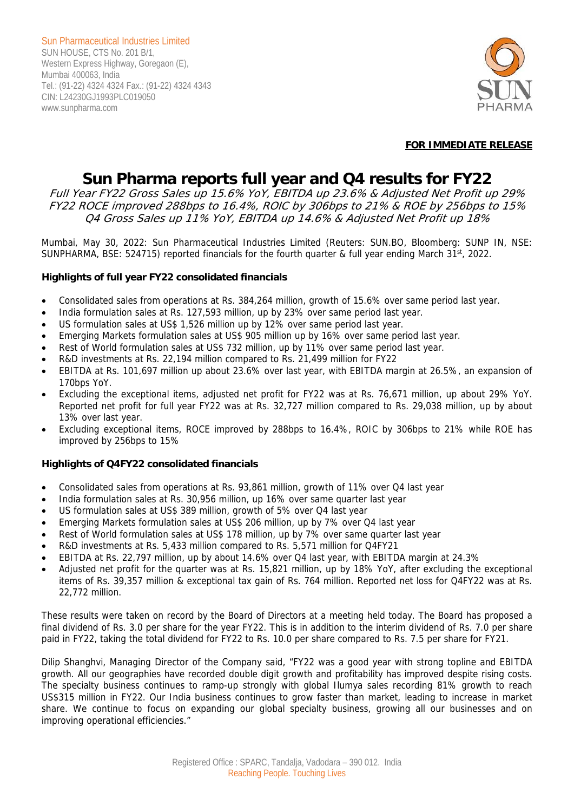

## **FOR IMMEDIATE RELEASE**

# **Sun Pharma reports full year and Q4 results for FY22**

Full Year FY22 Gross Sales up 15.6% YoY, EBITDA up 23.6% & Adjusted Net Profit up 29% FY22 ROCE improved 288bps to 16.4%, ROIC by 306bps to 21% & ROE by 256bps to 15% Q4 Gross Sales up 11% YoY, EBITDA up 14.6% & Adjusted Net Profit up 18%

Mumbai, May 30, 2022: Sun Pharmaceutical Industries Limited (Reuters: SUN.BO, Bloomberg: SUNP IN, NSE: SUNPHARMA, BSE: 524715) reported financials for the fourth quarter & full year ending March  $31<sup>st</sup>$ , 2022.

## **Highlights of full year FY22 consolidated financials**

- Consolidated sales from operations at Rs. 384,264 million, growth of 15.6% over same period last year.
- India formulation sales at Rs. 127,593 million, up by 23% over same period last year.
- US formulation sales at US\$ 1,526 million up by 12% over same period last year.
- Emerging Markets formulation sales at US\$ 905 million up by 16% over same period last year.
- Rest of World formulation sales at US\$ 732 million, up by 11% over same period last year.
- R&D investments at Rs. 22,194 million compared to Rs. 21,499 million for FY22
- EBITDA at Rs. 101,697 million up about 23.6% over last year, with EBITDA margin at 26.5%, an expansion of 170bps YoY.
- Excluding the exceptional items, adjusted net profit for FY22 was at Rs. 76,671 million, up about 29% YoY. Reported net profit for full year FY22 was at Rs. 32,727 million compared to Rs. 29,038 million, up by about 13% over last year.
- Excluding exceptional items, ROCE improved by 288bps to 16.4%, ROIC by 306bps to 21% while ROE has improved by 256bps to 15%

## **Highlights of Q4FY22 consolidated financials**

- Consolidated sales from operations at Rs. 93,861 million, growth of 11% over Q4 last year
- India formulation sales at Rs. 30,956 million, up 16% over same quarter last year
- US formulation sales at US\$ 389 million, growth of 5% over Q4 last year
- Emerging Markets formulation sales at US\$ 206 million, up by 7% over Q4 last year
- Rest of World formulation sales at US\$ 178 million, up by 7% over same quarter last year
- R&D investments at Rs. 5,433 million compared to Rs. 5,571 million for Q4FY21
- EBITDA at Rs. 22,797 million, up by about 14.6% over Q4 last year, with EBITDA margin at 24.3%
- Adjusted net profit for the quarter was at Rs. 15,821 million, up by 18% YoY, after excluding the exceptional items of Rs. 39,357 million & exceptional tax gain of Rs. 764 million. Reported net loss for Q4FY22 was at Rs. 22,772 million.

These results were taken on record by the Board of Directors at a meeting held today. The Board has proposed a final dividend of Rs. 3.0 per share for the year FY22. This is in addition to the interim dividend of Rs. 7.0 per share paid in FY22, taking the total dividend for FY22 to Rs. 10.0 per share compared to Rs. 7.5 per share for FY21.

Dilip Shanghvi, Managing Director of the Company said, "FY22 was a good year with strong topline and EBITDA growth. All our geographies have recorded double digit growth and profitability has improved despite rising costs. The specialty business continues to ramp-up strongly with global Ilumya sales recording 81% growth to reach US\$315 million in FY22. Our India business continues to grow faster than market, leading to increase in market share. We continue to focus on expanding our global specialty business, growing all our businesses and on improving operational efficiencies."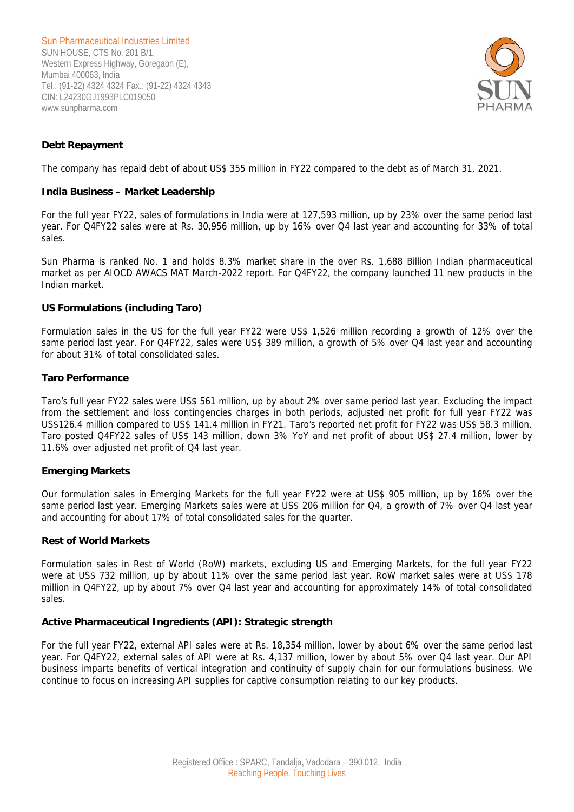

## **Debt Repayment**

The company has repaid debt of about US\$ 355 million in FY22 compared to the debt as of March 31, 2021.

### **India Business – Market Leadership**

For the full year FY22, sales of formulations in India were at 127,593 million, up by 23% over the same period last year. For Q4FY22 sales were at Rs. 30,956 million, up by 16% over Q4 last year and accounting for 33% of total sales.

Sun Pharma is ranked No. 1 and holds 8.3% market share in the over Rs. 1,688 Billion Indian pharmaceutical market as per AIOCD AWACS MAT March-2022 report. For Q4FY22, the company launched 11 new products in the Indian market.

#### **US Formulations (including Taro)**

Formulation sales in the US for the full year FY22 were US\$ 1,526 million recording a growth of 12% over the same period last year. For Q4FY22, sales were US\$ 389 million, a growth of 5% over Q4 last year and accounting for about 31% of total consolidated sales.

#### **Taro Performance**

Taro's full year FY22 sales were US\$ 561 million, up by about 2% over same period last year. Excluding the impact from the settlement and loss contingencies charges in both periods, adjusted net profit for full year FY22 was US\$126.4 million compared to US\$ 141.4 million in FY21. Taro's reported net profit for FY22 was US\$ 58.3 million. Taro posted Q4FY22 sales of US\$ 143 million, down 3% YoY and net profit of about US\$ 27.4 million, lower by 11.6% over adjusted net profit of Q4 last year.

#### **Emerging Markets**

Our formulation sales in Emerging Markets for the full year FY22 were at US\$ 905 million, up by 16% over the same period last year. Emerging Markets sales were at US\$ 206 million for Q4, a growth of 7% over Q4 last year and accounting for about 17% of total consolidated sales for the quarter.

#### **Rest of World Markets**

Formulation sales in Rest of World (RoW) markets, excluding US and Emerging Markets, for the full year FY22 were at US\$ 732 million, up by about 11% over the same period last year. RoW market sales were at US\$ 178 million in Q4FY22, up by about 7% over Q4 last year and accounting for approximately 14% of total consolidated sales.

## **Active Pharmaceutical Ingredients (API): Strategic strength**

For the full year FY22, external API sales were at Rs. 18,354 million, lower by about 6% over the same period last year. For Q4FY22, external sales of API were at Rs. 4,137 million, lower by about 5% over Q4 last year. Our API business imparts benefits of vertical integration and continuity of supply chain for our formulations business. We continue to focus on increasing API supplies for captive consumption relating to our key products.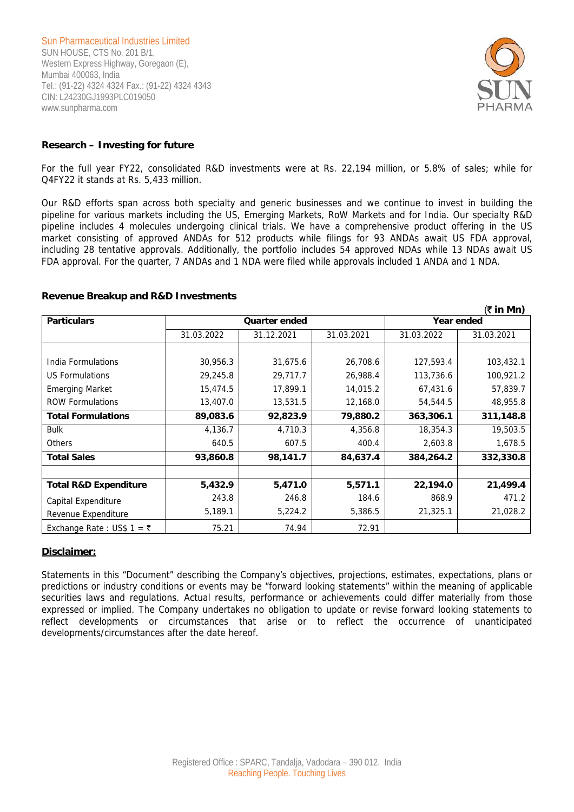

#### **Research – Investing for future**

For the full year FY22, consolidated R&D investments were at Rs. 22,194 million, or 5.8% of sales; while for Q4FY22 it stands at Rs. 5,433 million.

Our R&D efforts span across both specialty and generic businesses and we continue to invest in building the pipeline for various markets including the US, Emerging Markets, RoW Markets and for India. Our specialty R&D pipeline includes 4 molecules undergoing clinical trials. We have a comprehensive product offering in the US market consisting of approved ANDAs for 512 products while filings for 93 ANDAs await US FDA approval, including 28 tentative approvals. Additionally, the portfolio includes 54 approved NDAs while 13 NDAs await US FDA approval. For the quarter, 7 ANDAs and 1 NDA were filed while approvals included 1 ANDA and 1 NDA.

#### **Revenue Breakup and R&D Investments**

|                                  |                      |            |            |            | $(3\bar{z}$ in Mn) |
|----------------------------------|----------------------|------------|------------|------------|--------------------|
| <b>Particulars</b>               | <b>Quarter ended</b> |            |            | Year ended |                    |
|                                  | 31.03.2022           | 31.12.2021 | 31.03.2021 | 31.03.2022 | 31.03.2021         |
|                                  |                      |            |            |            |                    |
| India Formulations               | 30,956.3             | 31,675.6   | 26,708.6   | 127,593.4  | 103,432.1          |
| <b>US Formulations</b>           | 29,245.8             | 29,717.7   | 26,988.4   | 113,736.6  | 100,921.2          |
| <b>Emerging Market</b>           | 15,474.5             | 17,899.1   | 14,015.2   | 67,431.6   | 57,839.7           |
| <b>ROW Formulations</b>          | 13,407.0             | 13,531.5   | 12,168.0   | 54,544.5   | 48,955.8           |
| <b>Total Formulations</b>        | 89,083.6             | 92,823.9   | 79,880.2   | 363,306.1  | 311,148.8          |
| <b>Bulk</b>                      | 4,136.7              | 4,710.3    | 4,356.8    | 18,354.3   | 19,503.5           |
| <b>Others</b>                    | 640.5                | 607.5      | 400.4      | 2,603.8    | 1,678.5            |
| <b>Total Sales</b>               | 93,860.8             | 98,141.7   | 84,637.4   | 384,264.2  | 332,330.8          |
|                                  |                      |            |            |            |                    |
| <b>Total R&amp;D Expenditure</b> | 5,432.9              | 5,471.0    | 5,571.1    | 22,194.0   | 21,499.4           |
| Capital Expenditure              | 243.8                | 246.8      | 184.6      | 868.9      | 471.2              |
| Revenue Expenditure              | 5,189.1              | 5,224.2    | 5,386.5    | 21,325.1   | 21,028.2           |
| Exchange Rate : US\$ 1 = ₹       | 75.21                | 74.94      | 72.91      |            |                    |

#### **Disclaimer:**

Statements in this "Document" describing the Company's objectives, projections, estimates, expectations, plans or predictions or industry conditions or events may be "forward looking statements" within the meaning of applicable securities laws and regulations. Actual results, performance or achievements could differ materially from those expressed or implied. The Company undertakes no obligation to update or revise forward looking statements to reflect developments or circumstances that arise or to reflect the occurrence of unanticipated developments/circumstances after the date hereof.